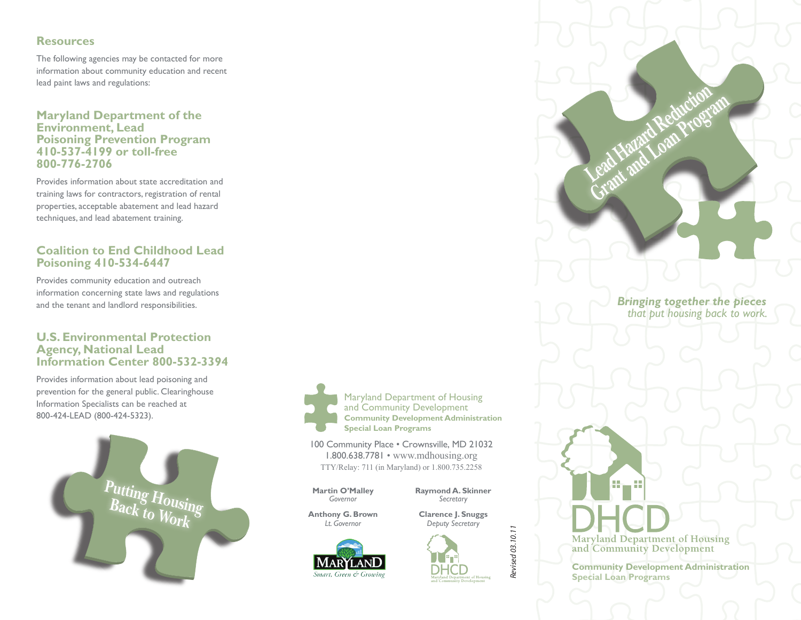#### **Resources**

The following agencies may be contacted for more information about community education and recent lead paint laws and regulations:

**Maryland Department of the Environment, Lead Poisoning Prevention Program 410-537-4199 or toll-free 800-776-2706**

Provides information about state accreditation and training laws for contractors, registration of rental properties, acceptable abatement and lead hazard techniques, and lead abatement training.

#### **Coalition to End Childhood Lead Poisoning 410-534-6447**

Provides community education and outreach information concerning state laws and regulations and the tenant and landlord responsibilities.

#### **U.S. Environmental Protection Agency, National Lead Information Center 800-532-3394**

Provides information about lead poisoning and prevention for the general public. Clearinghouse Information Specialists can be reached at 800-424-LEAD (800-424-5323).





Maryland Department of Housing and Community Development **Community Development Administration Special Loan Programs**

100 Community Place • Crownsville, MD 21032 1.800.638.7781 • www.mdhousing.org TTY/Relay: 711 (in Maryland) or 1.800.735.2258

**Martin O'Malley <b>Raymond A. Skinner**<br>Governor Secretary

 *Governor Secretary*

**Anthony G. Brown Clarence J. Snuggs**<br> *Lt Governor Control Debuty Secretary* 





*Revised 03.10.11*

Revised 03.10.11

*Bringing together the pieces that put housing back to work.*

Lead Hazard Reduction **Grant and Loan Program** 

**Maryland Department of Housing** and Community Development

a. ρğ.

**Community Development Administration Special Loan Programs**